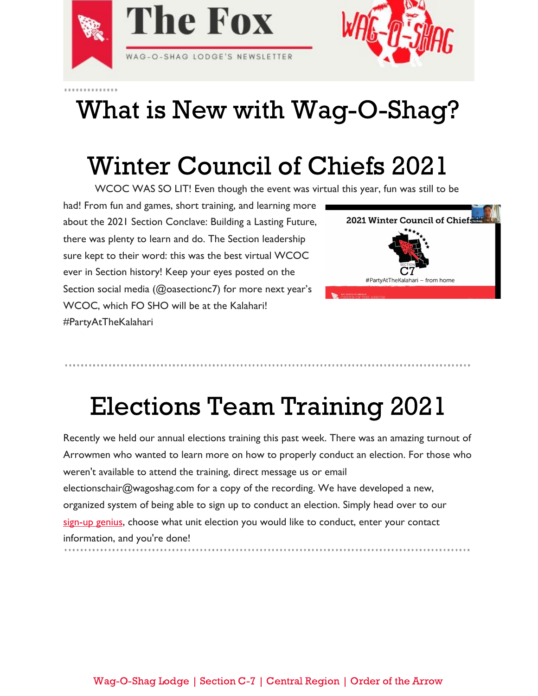

# What is New with Wag-O-Shag?

# Winter Council of Chiefs 2021

WCOC WAS SO LIT! Even though the event was virtual this year, fun was still to be

had! From fun and games, short training, and learning more about the 2021 Section Conclave: Building a Lasting Future, there was plenty to learn and do. The Section leadership sure kept to their word: this was the best virtual WCOC ever in Section history! Keep your eyes posted on the Section social media (@oasectionc7) for more next year's WCOC, which FO SHO will be at the Kalahari! #PartyAtTheKalahari



# Elections Team Training 2021

Recently we held our annual elections training this past week. There was an amazing turnout of Arrowmen who wanted to learn more on how to properly conduct an election. For those who weren't available to attend the training, direct message us or email electionschair@wagoshag.com for a copy of the recording. We have developed a new, organized system of being able to sign up to conduct an election. Simply head over to our [sign-up genius,](https://www.signupgenius.com/go/10c0d44afaa2ea6f5c52-unit) choose what unit election you would like to conduct, enter your contact information, and you're done!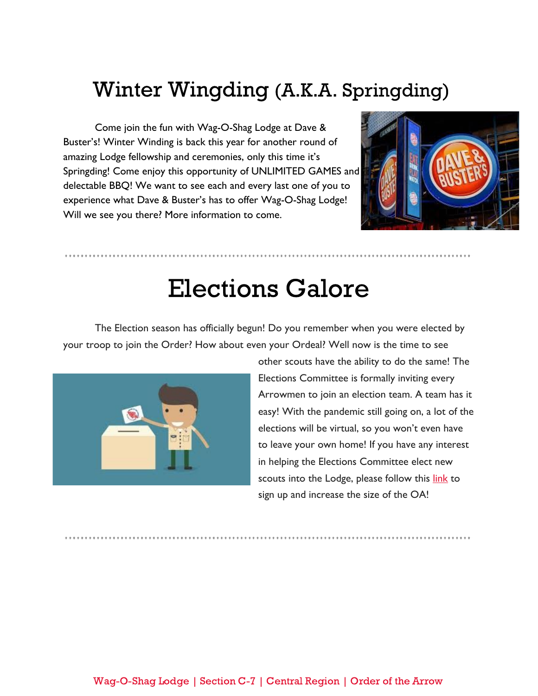#### Winter Wingding (A.K.A. Springding)

Come join the fun with Wag-O-Shag Lodge at Dave & Buster's! Winter Winding is back this year for another round of amazing Lodge fellowship and ceremonies, only this time it's Springding! Come enjoy this opportunity of UNLIMITED GAMES and delectable BBQ! We want to see each and every last one of you to experience what Dave & Buster's has to offer Wag-O-Shag Lodge! Will we see you there? More information to come.



#### Elections Galore

The Election season has officially begun! Do you remember when you were elected by your troop to join the Order? How about even your Ordeal? Well now is the time to see



other scouts have the ability to do the same! The Elections Committee is formally inviting every Arrowmen to join an election team. A team has it easy! With the pandemic still going on, a lot of the elections will be virtual, so you won't even have to leave your own home! If you have any interest in helping the Elections Committee elect new scouts into the Lodge, please follow this l[ink](https://forms.gle/nc5rbpoCh7GYXgx97) to sign up and increase the size of the OA!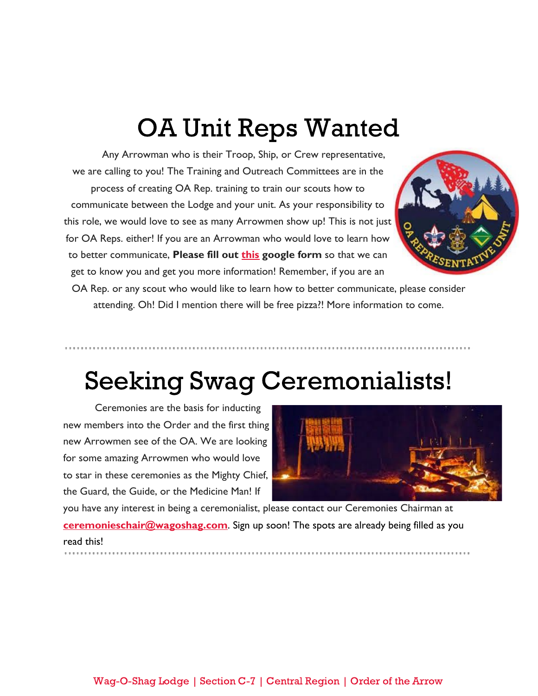#### OA Unit Reps Wanted

Any Arrowman who is their Troop, Ship, or Crew representative, we are calling to you! The Training and Outreach Committees are in the process of creating OA Rep. training to train our scouts how to communicate between the Lodge and your unit. As your responsibility to this role, we would love to see as many Arrowmen show up! This is not just for OA Reps. either! If you are an Arrowman who would love to learn how to better communicate, **Please fill out [this](https://forms.gle/vrYs5so8YGgH4Cxz6) google form** so that we can get to know you and get you more information! Remember, if you are an



OA Rep. or any scout who would like to learn how to better communicate, please consider attending. Oh! Did I mention there will be free pizza?! More information to come.

### Seeking Swag Ceremonialists!

Ceremonies are the basis for inducting new members into the Order and the first thing new Arrowmen see of the OA. We are looking for some amazing Arrowmen who would love to star in these ceremonies as the Mighty Chief, the Guard, the Guide, or the Medicine Man! If



you have any interest in being a ceremonialist, please contact our Ceremonies Chairman at **[ceremonieschair@wagoshag.com](mailto:ceremonieschair@wagoshag.com)**. Sign up soon! The spots are already being filled as you read this!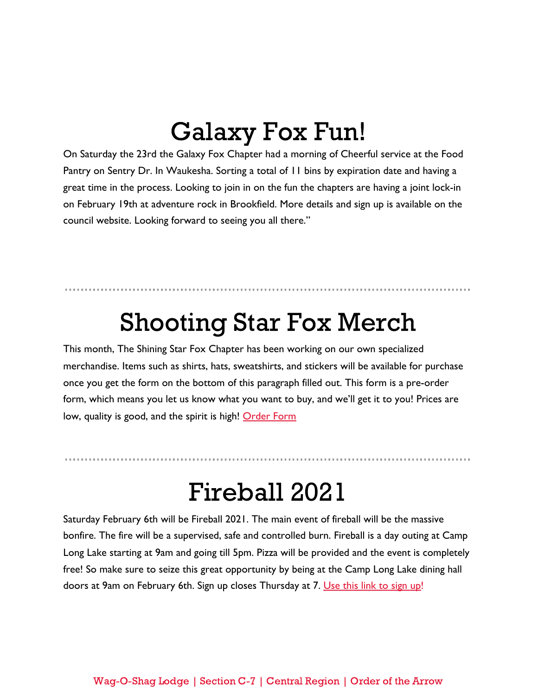#### Galaxy Fox Fun!

On Saturday the 23rd the Galaxy Fox Chapter had a morning of Cheerful service at the Food Pantry on Sentry Dr. In Waukesha. Sorting a total of 11 bins by expiration date and having a great time in the process. Looking to join in on the fun the chapters are having a joint lock-in on February 19th at adventure rock in Brookfield. More details and sign up is available on the council website. Looking forward to seeing you all there."

#### Shooting Star Fox Merch

This month, The Shining Star Fox Chapter has been working on our own specialized merchandise. Items such as shirts, hats, sweatshirts, and stickers will be available for purchase once you get the form on the bottom of this paragraph filled out. This form is a pre-order form, which means you let us know what you want to buy, and we'll get it to you! Prices are low, quality is good, and the spirit is high! [Order Form](https://forms.gle/v1ywxqd5Zt9wHgXY9)

#### Fireball 2021

Saturday February 6th will be Fireball 2021. The main event of fireball will be the massive bonfire. The fire will be a supervised, safe and controlled burn. Fireball is a day outing at Camp Long Lake starting at 9am and going till 5pm. Pizza will be provided and the event is completely free! So make sure to seize this great opportunity by being at the Camp Long Lake dining hall doors at 9am on February 6th. Sign up closes Thursday at 7. [Use this link to sign up](https://docs.google.com/forms/d/12GI2WvOBUTPKGdit_XuaxXSxrpjtNrlskDBeHLplcxs/edit)!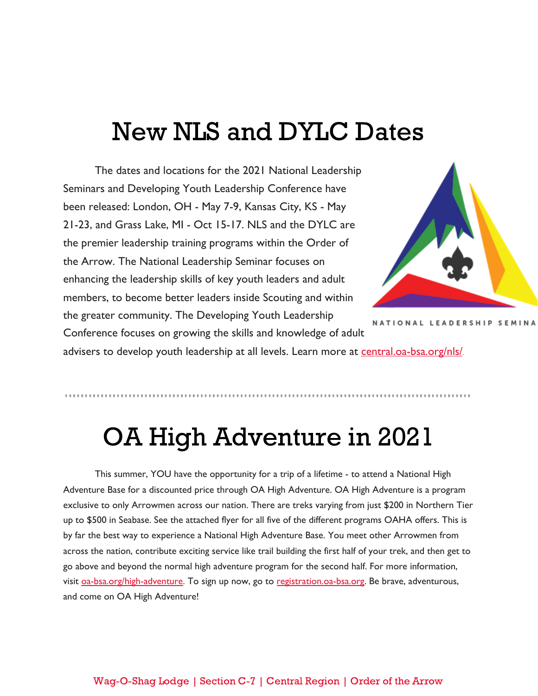#### New NLS and DYLC Dates

The dates and locations for the 2021 National Leadership Seminars and Developing Youth Leadership Conference have been released: London, OH - May 7-9, Kansas City, KS - May 21-23, and Grass Lake, MI - Oct 15-17. NLS and the DYLC are the premier leadership training programs within the Order of the Arrow. The National Leadership Seminar focuses on enhancing the leadership skills of key youth leaders and adult members, to become better leaders inside Scouting and within the greater community. The Developing Youth Leadership Conference focuses on growing the skills and knowledge of adult



NATIONAL LEADERSHIP SEMINA

advisers to develop youth leadership at all levels. Learn more at [central.oa-bsa.org/nls/](https://central.oa-bsa.org/nls/).

# OA High Adventure in 2021

This summer, YOU have the opportunity for a trip of a lifetime - to attend a National High Adventure Base for a discounted price through OA High Adventure. OA High Adventure is a program exclusive to only Arrowmen across our nation. There are treks varying from just \$200 in Northern Tier up to \$500 in Seabase. See the attached flyer for all five of the different programs OAHA offers. This is by far the best way to experience a National High Adventure Base. You meet other Arrowmen from across the nation, contribute exciting service like trail building the first half of your trek, and then get to go above and beyond the normal high adventure program for the second half. For more information, visit [oa-bsa.org/high-adventure](http://oa-bsa.org/high-adventure). To sign up now, go to [registration.oa-bsa.org.](http://registration.oa-bsa.org/) Be brave, adventurous, and come on OA High Adventure!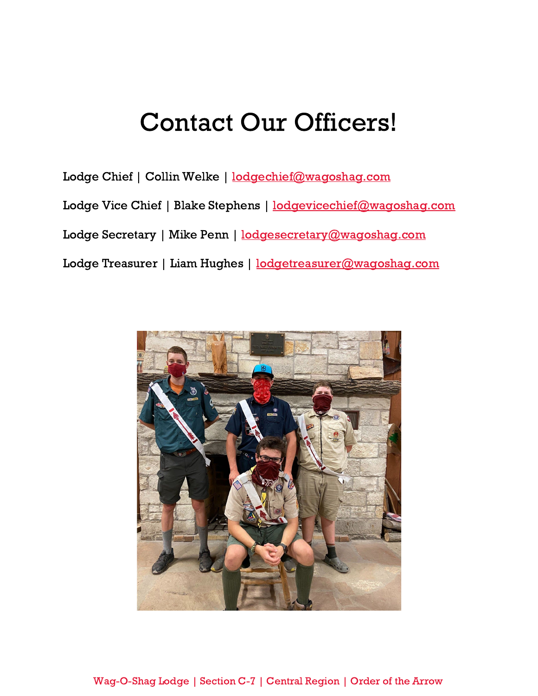#### Contact Our Officers!

Lodge Chief | Collin Welke | [lodgechief@wagoshag.com](mailto:lodgechief@wagoshag.com) Lodge Vice Chief | Blake Stephens | [lodgevicechief@wagoshag.com](mailto:lodgevicechief@wagoshag.com) Lodge Secretary | Mike Penn | [lodgesecretary@wagoshag.com](mailto:lodgesecretary@wagoshag.com) Lodge Treasurer | Liam Hughes | [lodgetreasurer@wagoshag.com](mailto:lodgetreasurer@wagoshag.com)